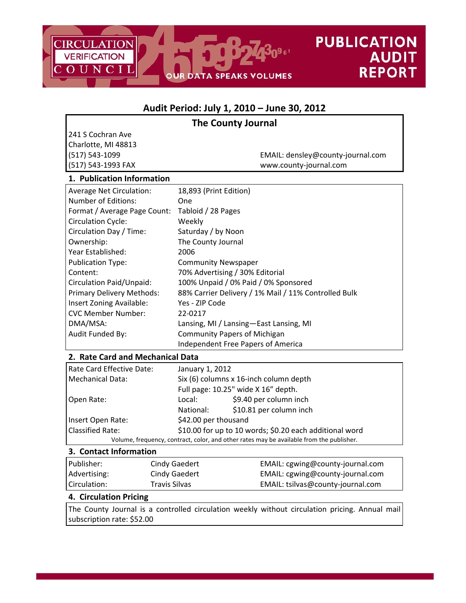

# **Audit Period: July 1, 2010 – June 30, 2012**

# **The County Journal**

241 S Cochran Ave Charlotte, MI 48813

(517) 543‐1099 EMAIL: densley@county‐journal.com (517) 543‐1993 FAX www.county‐journal.com

## **1. Publication Information**

| <b>Average Net Circulation:</b> | 18,893 (Print Edition)                               |
|---------------------------------|------------------------------------------------------|
| Number of Editions:             | <b>One</b>                                           |
| Format / Average Page Count:    | Tabloid / 28 Pages                                   |
| <b>Circulation Cycle:</b>       | Weekly                                               |
| Circulation Day / Time:         | Saturday / by Noon                                   |
| Ownership:                      | The County Journal                                   |
| Year Established:               | 2006                                                 |
| <b>Publication Type:</b>        | <b>Community Newspaper</b>                           |
| Content:                        | 70% Advertising / 30% Editorial                      |
| <b>Circulation Paid/Unpaid:</b> | 100% Unpaid / 0% Paid / 0% Sponsored                 |
| Primary Delivery Methods:       | 88% Carrier Delivery / 1% Mail / 11% Controlled Bulk |
| Insert Zoning Available:        | Yes - ZIP Code                                       |
| <b>CVC Member Number:</b>       | 22-0217                                              |
| DMA/MSA:                        | Lansing, MI / Lansing-East Lansing, MI               |
| Audit Funded By:                | <b>Community Papers of Michigan</b>                  |
|                                 | Independent Free Papers of America                   |

# **2. Rate Card and Mechanical Data**

| Rate Card Effective Date:                                                                | January 1, 2012                                         |                                     |  |
|------------------------------------------------------------------------------------------|---------------------------------------------------------|-------------------------------------|--|
| Mechanical Data:                                                                         | Six (6) columns x 16-inch column depth                  |                                     |  |
|                                                                                          |                                                         | Full page: 10.25" wide X 16" depth. |  |
| Open Rate:                                                                               | \$9.40 per column inch<br>Local:                        |                                     |  |
|                                                                                          | \$10.81 per column inch<br>National:                    |                                     |  |
| Insert Open Rate:                                                                        | \$42.00 per thousand                                    |                                     |  |
| <b>Classified Rate:</b>                                                                  | \$10.00 for up to 10 words; \$0.20 each additional word |                                     |  |
| Volume, frequency, contract, color, and other rates may be available from the publisher. |                                                         |                                     |  |

#### **3. Contact Information**

| Publisher:   | Cindy Gaedert | EMAIL: cgwing@county-journal.com  |
|--------------|---------------|-----------------------------------|
| Advertising: | Cindy Gaedert | EMAIL: cgwing@county-journal.com  |
| Circulation: | Travis Silvas | EMAIL: tsilvas@county-journal.com |

#### **4. Circulation Pricing**

The County Journal is a controlled circulation weekly without circulation pricing. Annual mail subscription rate: \$52.00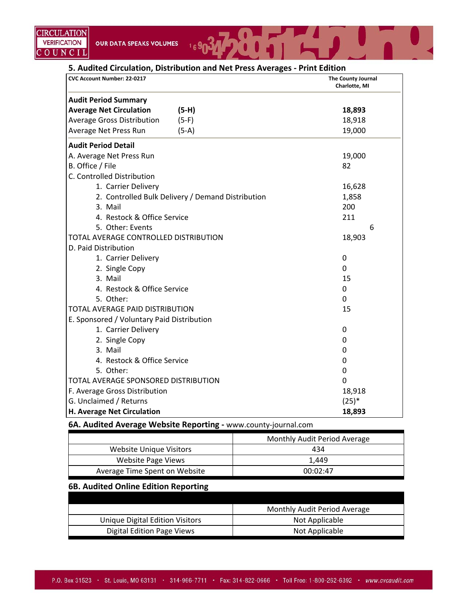# **5. Audited Circulation, Distribution and Net Press Averages ‐ Print Edition**

 $16903$ 

| CVC Account Number: 22-0217                |                                                   | The County Journal<br>Charlotte, MI |
|--------------------------------------------|---------------------------------------------------|-------------------------------------|
| <b>Audit Period Summary</b>                |                                                   |                                     |
| <b>Average Net Circulation</b>             | $(5-H)$                                           | 18,893                              |
| <b>Average Gross Distribution</b>          | $(5-F)$                                           | 18,918                              |
| Average Net Press Run                      | $(5-A)$                                           | 19,000                              |
| <b>Audit Period Detail</b>                 |                                                   |                                     |
| A. Average Net Press Run                   |                                                   | 19,000                              |
| B. Office / File                           |                                                   | 82                                  |
| C. Controlled Distribution                 |                                                   |                                     |
| 1. Carrier Delivery                        |                                                   | 16,628                              |
|                                            | 2. Controlled Bulk Delivery / Demand Distribution | 1,858                               |
| 3. Mail                                    |                                                   | 200                                 |
| 4. Restock & Office Service                |                                                   | 211                                 |
| 5. Other: Events                           |                                                   | 6                                   |
| TOTAL AVERAGE CONTROLLED DISTRIBUTION      |                                                   | 18,903                              |
| D. Paid Distribution                       |                                                   |                                     |
| 1. Carrier Delivery                        |                                                   | $\boldsymbol{0}$                    |
| 2. Single Copy                             |                                                   | 0                                   |
| 3. Mail                                    |                                                   | 15                                  |
| 4. Restock & Office Service                |                                                   | 0                                   |
| 5. Other:                                  |                                                   | $\mathbf 0$                         |
| TOTAL AVERAGE PAID DISTRIBUTION            |                                                   | 15                                  |
| E. Sponsored / Voluntary Paid Distribution |                                                   |                                     |
| 1. Carrier Delivery                        |                                                   | 0                                   |
| 2. Single Copy                             |                                                   | 0                                   |
| 3. Mail                                    |                                                   | $\mathbf 0$                         |
| 4. Restock & Office Service                |                                                   | $\mathbf 0$                         |
| 5. Other:                                  |                                                   | $\Omega$                            |
| TOTAL AVERAGE SPONSORED DISTRIBUTION       |                                                   | $\Omega$                            |
| F. Average Gross Distribution              |                                                   | 18,918                              |
| G. Unclaimed / Returns                     |                                                   | $(25)*$                             |
| H. Average Net Circulation                 |                                                   | 18,893                              |

#### **6A. Audited Average Website Reporting ‐** www.county‐journal.com

|                               | Monthly Audit Period Average |
|-------------------------------|------------------------------|
| Website Unique Visitors       | 434                          |
| Website Page Views            | 1.449                        |
| Average Time Spent on Website | 00:02:47                     |

# **6B. Audited Online Edition Reporting**

|                                 | Monthly Audit Period Average |
|---------------------------------|------------------------------|
| Unique Digital Edition Visitors | Not Applicable               |
| Digital Edition Page Views      | Not Applicable               |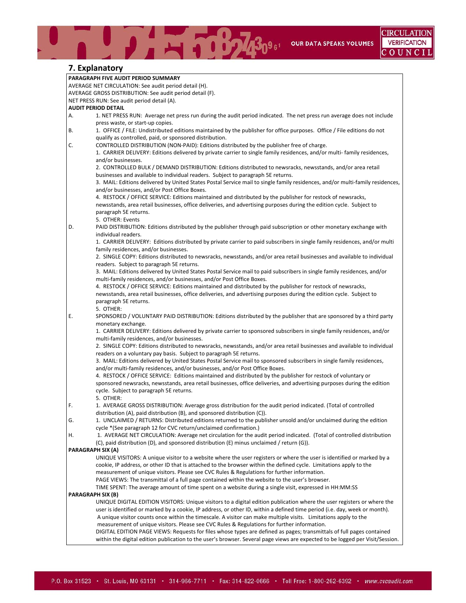BOL 30961 OUR DATA SPEAKS VOLUMES

## **7. Explanatory**

|    | 7 . LAPIUHUWI Y                                                                                                               |
|----|-------------------------------------------------------------------------------------------------------------------------------|
|    | PARAGRAPH FIVE AUDIT PERIOD SUMMARY                                                                                           |
|    | AVERAGE NET CIRCULATION: See audit period detail (H).                                                                         |
|    | AVERAGE GROSS DISTRIBUTION: See audit period detail (F).                                                                      |
|    | NET PRESS RUN: See audit period detail (A).                                                                                   |
|    | <b>AUDIT PERIOD DETAIL</b>                                                                                                    |
| А. | 1. NET PRESS RUN: Average net press run during the audit period indicated. The net press run average does not include         |
|    | press waste, or start-up copies.                                                                                              |
| В. | 1. OFFICE / FILE: Undistributed editions maintained by the publisher for office purposes. Office / File editions do not       |
|    | qualify as controlled, paid, or sponsored distribution.                                                                       |
| C. | CONTROLLED DISTRIBUTION (NON-PAID): Editions distributed by the publisher free of charge.                                     |
|    | 1. CARRIER DELIVERY: Editions delivered by private carrier to single family residences, and/or multi-family residences,       |
|    | and/or businesses.                                                                                                            |
|    | 2. CONTROLLED BULK / DEMAND DISTRIBUTION: Editions distributed to newsracks, newsstands, and/or area retail                   |
|    | businesses and available to individual readers. Subject to paragraph 5E returns.                                              |
|    | 3. MAIL: Editions delivered by United States Postal Service mail to single family residences, and/or multi-family residences, |
|    |                                                                                                                               |
|    | and/or businesses, and/or Post Office Boxes.                                                                                  |
|    | 4. RESTOCK / OFFICE SERVICE: Editions maintained and distributed by the publisher for restock of newsracks,                   |
|    | newsstands, area retail businesses, office deliveries, and advertising purposes during the edition cycle. Subject to          |
|    | paragraph 5E returns.                                                                                                         |
|    | 5. OTHER: Events                                                                                                              |
| D. | PAID DISTRIBUTION: Editions distributed by the publisher through paid subscription or other monetary exchange with            |
|    | individual readers.                                                                                                           |
|    | 1. CARRIER DELIVERY: Editions distributed by private carrier to paid subscribers in single family residences, and/or multi    |
|    | family residences, and/or businesses.                                                                                         |
|    | 2. SINGLE COPY: Editions distributed to newsracks, newsstands, and/or area retail businesses and available to individual      |
|    | readers. Subject to paragraph 5E returns.                                                                                     |
|    | 3. MAIL: Editions delivered by United States Postal Service mail to paid subscribers in single family residences, and/or      |
|    | multi-family residences, and/or businesses, and/or Post Office Boxes.                                                         |
|    | 4. RESTOCK / OFFICE SERVICE: Editions maintained and distributed by the publisher for restock of newsracks,                   |
|    | newsstands, area retail businesses, office deliveries, and advertising purposes during the edition cycle. Subject to          |
|    | paragraph 5E returns.                                                                                                         |
|    | 5. OTHER:                                                                                                                     |
| Ε. | SPONSORED / VOLUNTARY PAID DISTRIBUTION: Editions distributed by the publisher that are sponsored by a third party            |
|    | monetary exchange.                                                                                                            |
|    | 1. CARRIER DELIVERY: Editions delivered by private carrier to sponsored subscribers in single family residences, and/or       |
|    | multi-family residences, and/or businesses.                                                                                   |
|    | 2. SINGLE COPY: Editions distributed to newsracks, newsstands, and/or area retail businesses and available to individual      |
|    | readers on a voluntary pay basis. Subject to paragraph 5E returns.                                                            |
|    | 3. MAIL: Editions delivered by United States Postal Service mail to sponsored subscribers in single family residences,        |
|    | and/or multi-family residences, and/or businesses, and/or Post Office Boxes.                                                  |
|    | 4. RESTOCK / OFFICE SERVICE: Editions maintained and distributed by the publisher for restock of voluntary or                 |
|    | sponsored newsracks, newsstands, area retail businesses, office deliveries, and advertising purposes during the edition       |
|    | cycle. Subject to paragraph 5E returns.                                                                                       |
|    | 5. OTHER:                                                                                                                     |
| F. | 1. AVERAGE GROSS DISTRIBUTION: Average gross distribution for the audit period indicated. (Total of controlled                |
|    | distribution (A), paid distribution (B), and sponsored distribution (C)).                                                     |
| G. | 1. UNCLAIMED / RETURNS: Distributed editions returned to the publisher unsold and/or unclaimed during the edition             |
|    | cycle *(See paragraph 12 for CVC return/unclaimed confirmation.)                                                              |
| Η. | 1. AVERAGE NET CIRCULATION: Average net circulation for the audit period indicated. (Total of controlled distribution         |
|    | (C), paid distribution (D), and sponsored distribution (E) minus unclaimed / return (G)).                                     |
|    | PARAGRAPH SIX (A)                                                                                                             |
|    | UNIQUE VISITORS: A unique visitor to a website where the user registers or where the user is identified or marked by a        |
|    | cookie, IP address, or other ID that is attached to the browser within the defined cycle. Limitations apply to the            |
|    | measurement of unique visitors. Please see CVC Rules & Regulations for further information.                                   |
|    | PAGE VIEWS: The transmittal of a full page contained within the website to the user's browser.                                |
|    | TIME SPENT: The average amount of time spent on a website during a single visit, expressed in HH:MM:SS                        |
|    | PARAGRAPH SIX (B)                                                                                                             |
|    | UNIQUE DIGITAL EDITION VISITORS: Unique visitors to a digital edition publication where the user registers or where the       |
|    | user is identified or marked by a cookie, IP address, or other ID, within a defined time period (i.e. day, week or month).    |
|    | A unique visitor counts once within the timescale. A visitor can make multiple visits. Limitations apply to the               |
|    | measurement of unique visitors. Please see CVC Rules & Regulations for further information.                                   |
|    | DIGITAL EDITION PAGE VIEWS: Requests for files whose types are defined as pages; transmittals of full pages contained         |
|    | within the digital edition publication to the user's browser. Several page views are expected to be logged per Visit/Session. |
|    |                                                                                                                               |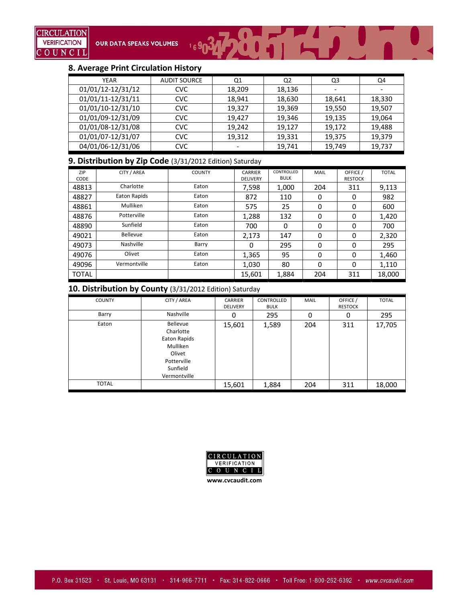

#### **8. Average Print Circulation History**

| <b>YEAR</b>       | <b>AUDIT SOURCE</b> | Q1     | Q <sub>2</sub> | Q3     | Q4     |
|-------------------|---------------------|--------|----------------|--------|--------|
| 01/01/12-12/31/12 | <b>CVC</b>          | 18,209 | 18,136         | -      | -      |
| 01/01/11-12/31/11 | <b>CVC</b>          | 18,941 | 18,630         | 18,641 | 18,330 |
| 01/01/10-12/31/10 | <b>CVC</b>          | 19,327 | 19,369         | 19,550 | 19,507 |
| 01/01/09-12/31/09 | <b>CVC</b>          | 19,427 | 19,346         | 19,135 | 19,064 |
| 01/01/08-12/31/08 | <b>CVC</b>          | 19,242 | 19,127         | 19,172 | 19,488 |
| 01/01/07-12/31/07 | <b>CVC</b>          | 19,312 | 19,331         | 19,375 | 19,379 |
| 04/01/06-12/31/06 | <b>CVC</b>          |        | 19,741         | 19,749 | 19,737 |

#### **9. Distribution by Zip Code** (3/31/2012 Edition) Saturday

| ZIP<br><b>CODE</b> | CITY / AREA  | <b>COUNTY</b> | <b>CARRIER</b><br><b>DELIVERY</b> | CONTROLLED<br><b>BULK</b> | <b>MAIL</b> | OFFICE /<br><b>RESTOCK</b> | <b>TOTAL</b> |
|--------------------|--------------|---------------|-----------------------------------|---------------------------|-------------|----------------------------|--------------|
| 48813              | Charlotte    | Eaton         | 7,598                             | 1,000                     | 204         | 311                        | 9,113        |
| 48827              | Eaton Rapids | Eaton         | 872                               | 110                       | 0           | 0                          | 982          |
| 48861              | Mulliken     | Eaton         | 575                               | 25                        | 0           | 0                          | 600          |
| 48876              | Potterville  | Eaton         | 1,288                             | 132                       | 0           | 0                          | 1,420        |
| 48890              | Sunfield     | Eaton         | 700                               | 0                         | 0           | 0                          | 700          |
| 49021              | Bellevue     | Eaton         | 2,173                             | 147                       | 0           | 0                          | 2,320        |
| 49073              | Nashville    | Barry         | $\Omega$                          | 295                       | $\Omega$    | 0                          | 295          |
| 49076              | Olivet       | Eaton         | 1,365                             | 95                        | 0           | 0                          | 1,460        |
| 49096              | Vermontville | Eaton         | 1,030                             | 80                        | 0           | 0                          | 1,110        |
| <b>TOTAL</b>       |              |               | 15,601                            | 1,884                     | 204         | 311                        | 18,000       |

#### **10. Distribution by County** (3/31/2012 Edition) Saturday

| <b>COUNTY</b> | CITY / AREA                                                                                            | <b>CARRIER</b><br><b>DELIVERY</b> | CONTROLLED<br><b>BULK</b> | <b>MAIL</b> | OFFICE /<br><b>RESTOCK</b> | <b>TOTAL</b> |
|---------------|--------------------------------------------------------------------------------------------------------|-----------------------------------|---------------------------|-------------|----------------------------|--------------|
| Barry         | Nashville                                                                                              | 0                                 | 295                       | 0           | 0                          | 295          |
| Eaton         | Bellevue<br>Charlotte<br>Eaton Rapids<br>Mulliken<br>Olivet<br>Potterville<br>Sunfield<br>Vermontville | 15,601                            | 1,589                     | 204         | 311                        | 17,705       |
| <b>TOTAL</b>  |                                                                                                        | 15,601                            | 1,884                     | 204         | 311                        | 18,000       |

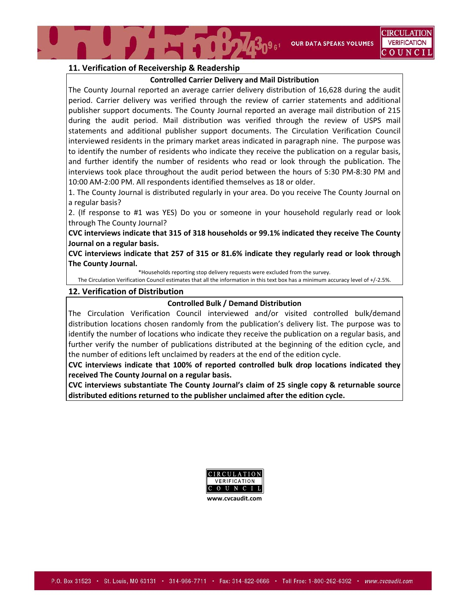**OUR DATA SPEAKS VOLUMES** 

#### **11. Verification of Receivership & Readership**

#### **Controlled Carrier Delivery and Mail Distribution**

The County Journal reported an average carrier delivery distribution of 16,628 during the audit period. Carrier delivery was verified through the review of carrier statements and additional publisher support documents. The County Journal reported an average mail distribution of 215 during the audit period. Mail distribution was verified through the review of USPS mail statements and additional publisher support documents. The Circulation Verification Council interviewed residents in the primary market areas indicated in paragraph nine. The purpose was to identify the number of residents who indicate they receive the publication on a regular basis, and further identify the number of residents who read or look through the publication. The interviews took place throughout the audit period between the hours of 5:30 PM‐8:30 PM and 10:00 AM‐2:00 PM. All respondents identified themselves as 18 or older.

1. The County Journal is distributed regularly in your area. Do you receive The County Journal on a regular basis?

2. (If response to #1 was YES) Do you or someone in your household regularly read or look through The County Journal?

**CVC interviews indicate that 315 of 318 households or 99.1% indicated they receive The County Journal on a regular basis.**

**CVC interviews indicate that 257 of 315 or 81.6% indicate they regularly read or look through The County Journal.**

\*Households reporting stop delivery requests were excluded from the survey.

The Circulation Verification Council estimates that all the information in this text box has a minimum accuracy level of +/‐2.5%.

#### **12. Verification of Distribution**

#### **Controlled Bulk / Demand Distribution**

The Circulation Verification Council interviewed and/or visited controlled bulk/demand distribution locations chosen randomly from the publication's delivery list. The purpose was to identify the number of locations who indicate they receive the publication on a regular basis, and further verify the number of publications distributed at the beginning of the edition cycle, and the number of editions left unclaimed by readers at the end of the edition cycle.

**CVC interviews indicate that 100% of reported controlled bulk drop locations indicated they received The County Journal on a regular basis.** 

**CVC interviews substantiate The County Journal's claim of 25 single copy & returnable source distributed editions returned to the publisher unclaimed after the edition cycle.**

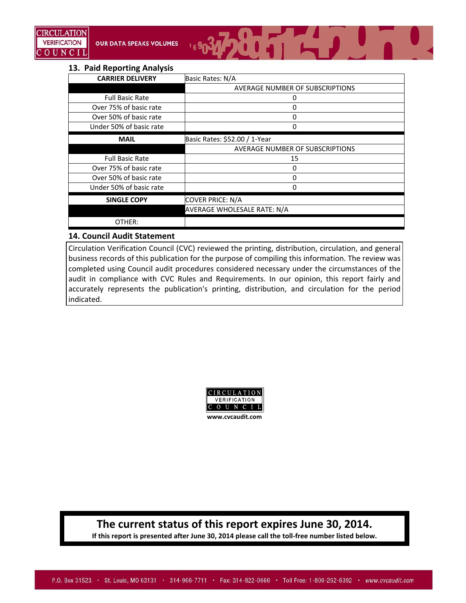

#### **13. Paid Reporting Analysis**

| <b>CARRIER DELIVERY</b> | Basic Rates: N/A                |  |
|-------------------------|---------------------------------|--|
|                         | AVERAGE NUMBER OF SUBSCRIPTIONS |  |
| <b>Full Basic Rate</b>  | 0                               |  |
| Over 75% of basic rate  | 0                               |  |
| Over 50% of basic rate  | 0                               |  |
| Under 50% of basic rate | 0                               |  |
| <b>MAIL</b>             | Basic Rates: \$52.00 / 1-Year   |  |
|                         | AVERAGE NUMBER OF SUBSCRIPTIONS |  |
| <b>Full Basic Rate</b>  | 15                              |  |
| Over 75% of basic rate  | 0                               |  |
| Over 50% of basic rate  | 0                               |  |
| Under 50% of basic rate | ი                               |  |
| <b>SINGLE COPY</b>      | <b>COVER PRICE: N/A</b>         |  |
|                         | AVERAGE WHOLESALE RATE: N/A     |  |
| OTHER:                  |                                 |  |

## **14. Council Audit Statement**

Circulation Verification Council (CVC) reviewed the printing, distribution, circulation, and general business records of this publication for the purpose of compiling this information. The review was completed using Council audit procedures considered necessary under the circumstances of the audit in compliance with CVC Rules and Requirements. In our opinion, this report fairly and accurately represents the publication's printing, distribution, and circulation for the period indicated.



# **The current status of this report expires June 30, 2014.**

**If this report is presented after June 30, 2014 please call the toll‐free number listed below.**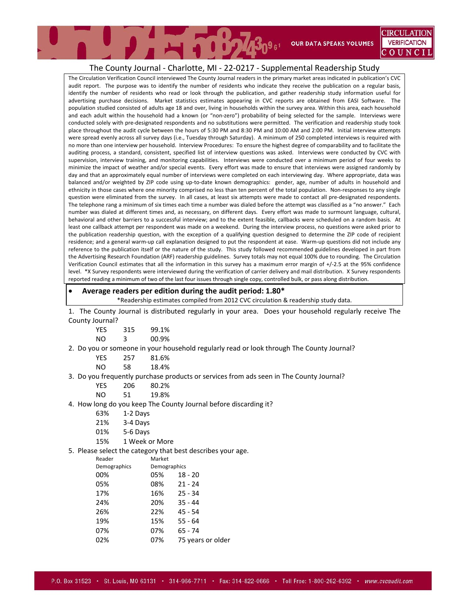#### The County Journal ‐ Charlotte, MI ‐ 22‐0217 ‐ Supplemental Readership Study

The Circulation Verification Council interviewed The County Journal readers in the primary market areas indicated in publication's CVC audit report. The purpose was to identify the number of residents who indicate they receive the publication on a regular basis, identify the number of residents who read or look through the publication, and gather readership study information useful for advertising purchase decisions. Market statistics estimates appearing in CVC reports are obtained from EASI Software. The population studied consisted of adults age 18 and over, living in households within the survey area. Within this area, each household and each adult within the household had a known (or "non-zero") probability of being selected for the sample. Interviews were conducted solely with pre‐designated respondents and no substitutions were permitted. The verification and readership study took place throughout the audit cycle between the hours of 5:30 PM and 8:30 PM and 10:00 AM and 2:00 PM. Initial interview attempts were spread evenly across all survey days (i.e., Tuesday through Saturday). A minimum of 250 completed interviews is required with no more than one interview per household. Interview Procedures: To ensure the highest degree of comparability and to facilitate the auditing process, a standard, consistent, specified list of interview questions was asked. Interviews were conducted by CVC with supervision, interview training, and monitoring capabilities. Interviews were conducted over a minimum period of four weeks to minimize the impact of weather and/or special events. Every effort was made to ensure that interviews were assigned randomly by day and that an approximately equal number of interviews were completed on each interviewing day. Where appropriate, data was balanced and/or weighted by ZIP code using up‐to‐date known demographics: gender, age, number of adults in household and ethnicity in those cases where one minority comprised no less than ten percent of the total population. Non‐responses to any single question were eliminated from the survey. In all cases, at least six attempts were made to contact all pre‐designated respondents. The telephone rang a minimum of six times each time a number was dialed before the attempt was classified as a "no answer." Each number was dialed at different times and, as necessary, on different days. Every effort was made to surmount language, cultural, behavioral and other barriers to a successful interview; and to the extent feasible, callbacks were scheduled on a random basis. At least one callback attempt per respondent was made on a weekend. During the interview process, no questions were asked prior to the publication readership question, with the exception of a qualifying question designed to determine the ZIP code of recipient residence; and a general warm-up call explanation designed to put the respondent at ease. Warm-up questions did not include any reference to the publication itself or the nature of the study. This study followed recommended guidelines developed in part from the Advertising Research Foundation (ARF) readership guidelines. Survey totals may not equal 100% due to rounding. The Circulation Verification Council estimates that all the information in this survey has a maximum error margin of +/‐2.5 at the 95% confidence level. \*X Survey respondents were interviewed during the verification of carrier delivery and mail distribution. X Survey respondents reported reading a minimum of two of the last four issues through single copy, controlled bulk, or pass along distribution.

#### **Average readers per edition during the audit period: 1.80\***

\*Readership estimates compiled from 2012 CVC circulation & readership study data.

1. The County Journal is distributed regularly in your area. Does your household regularly receive The County Journal?

| <b>YES</b> | 315 | 99.1% |
|------------|-----|-------|
| NO.        | 3   | 00.9% |

#### 2. Do you or someone in your household regularly read or look through The County Journal?

| YES. | 257 | 81.6% |
|------|-----|-------|
| NO   | 58  | 18.4% |

#### 3. Do you frequently purchase products or services from ads seen in The County Journal?

| YES | 206 | 80.2% |
|-----|-----|-------|
|     |     |       |

- NO 51 19.8%
- 4. How long do you keep The County Journal before discarding it?
	- 63% 1‐2 Days
	- 21% 3‐4 Days
	- 01% 5‐6 Days
	- 15% 1 Week or More

#### 5. Please select the category that best describes your age.

| Reader       | Market |                   |  |
|--------------|--------|-------------------|--|
| Demographics |        | Demographics      |  |
| 00%          | 05%    | $18 - 20$         |  |
| 05%          | 08%    | $21 - 24$         |  |
| 17%          | 16%    | $25 - 34$         |  |
| 24%          | 20%    | $35 - 44$         |  |
| 26%          | 22%    | $45 - 54$         |  |
| 19%          | 15%    | $55 - 64$         |  |
| 07%          | 07%    | 65 - 74           |  |
| 02%          | 07%    | 75 years or older |  |
|              |        |                   |  |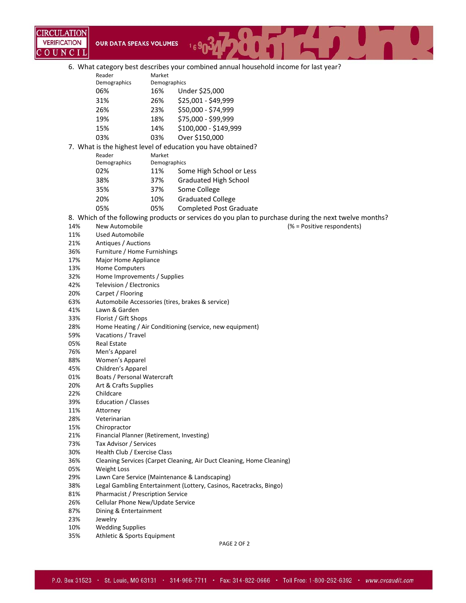

6. What category best describes your combined annual household income for last year?

| Demographics<br>Demographics<br>Under \$25,000<br>06%<br>16% |  |  |
|--------------------------------------------------------------|--|--|
|                                                              |  |  |
|                                                              |  |  |
| \$25,001 - \$49,999<br>26%<br>31%                            |  |  |
| \$50,000 - \$74,999<br>23%<br>26%                            |  |  |
| \$75,000 - \$99,999<br>19%<br>18%                            |  |  |
| \$100,000 - \$149,999<br>15%<br>14%                          |  |  |
| Over \$150,000<br>03%<br>03%                                 |  |  |
| 7. What is the highest level of education you have obtained? |  |  |

| Reader       | Market       |                                |
|--------------|--------------|--------------------------------|
| Demographics | Demographics |                                |
| 02%          | 11%          | Some High School or Less       |
| 38%          | 37%          | <b>Graduated High School</b>   |
| 35%          | 37%          | Some College                   |
| 20%          | 10%          | <b>Graduated College</b>       |
| 05%          | 05%          | <b>Completed Post Graduate</b> |

8. Which of the following products or services do you plan to purchase during the next twelve months?

- 14% New Automobile **14%** New Automobile **14%** New Automobile 14% and 14% in the set of the set of the set of the set of the set of the set of the set of the set of the set of the set of the set of the set of the set of the
- 11% Used Automobile
- 21% Antiques / Auctions
- 36% Furniture / Home Furnishings
- 17% Major Home Appliance
- 13% Home Computers
- 32% Home Improvements / Supplies
- 42% Television / Electronics
- 20% Carpet / Flooring
- 63% Automobile Accessories (tires, brakes & service)
- 41% Lawn & Garden
- 33% Florist / Gift Shops
- 28% Home Heating / Air Conditioning (service, new equipment)
- 59% Vacations / Travel
- 05% Real Estate
- 76% Men's Apparel
- 88% Women's Apparel
- 45% Children's Apparel
- 01% Boats / Personal Watercraft
- 20% Art & Crafts Supplies
- 22% Childcare
- 39% Education / Classes
- 11% Attorney
- 28% Veterinarian
- 15% Chiropractor
- 21% Financial Planner (Retirement, Investing)
- 73% Tax Advisor / Services
- 30% Health Club / Exercise Class
- 36% Cleaning Services (Carpet Cleaning, Air Duct Cleaning, Home Cleaning)
- 05% Weight Loss
- 29% Lawn Care Service (Maintenance & Landscaping)
- 38% Legal Gambling Entertainment (Lottery, Casinos, Racetracks, Bingo)
- 81% Pharmacist / Prescription Service
- 26% Cellular Phone New/Update Service
- 87% Dining & Entertainment
- 23% Jewelry
- 10% Wedding Supplies
- 35% Athletic & Sports Equipment

PAGE 2 OF 2